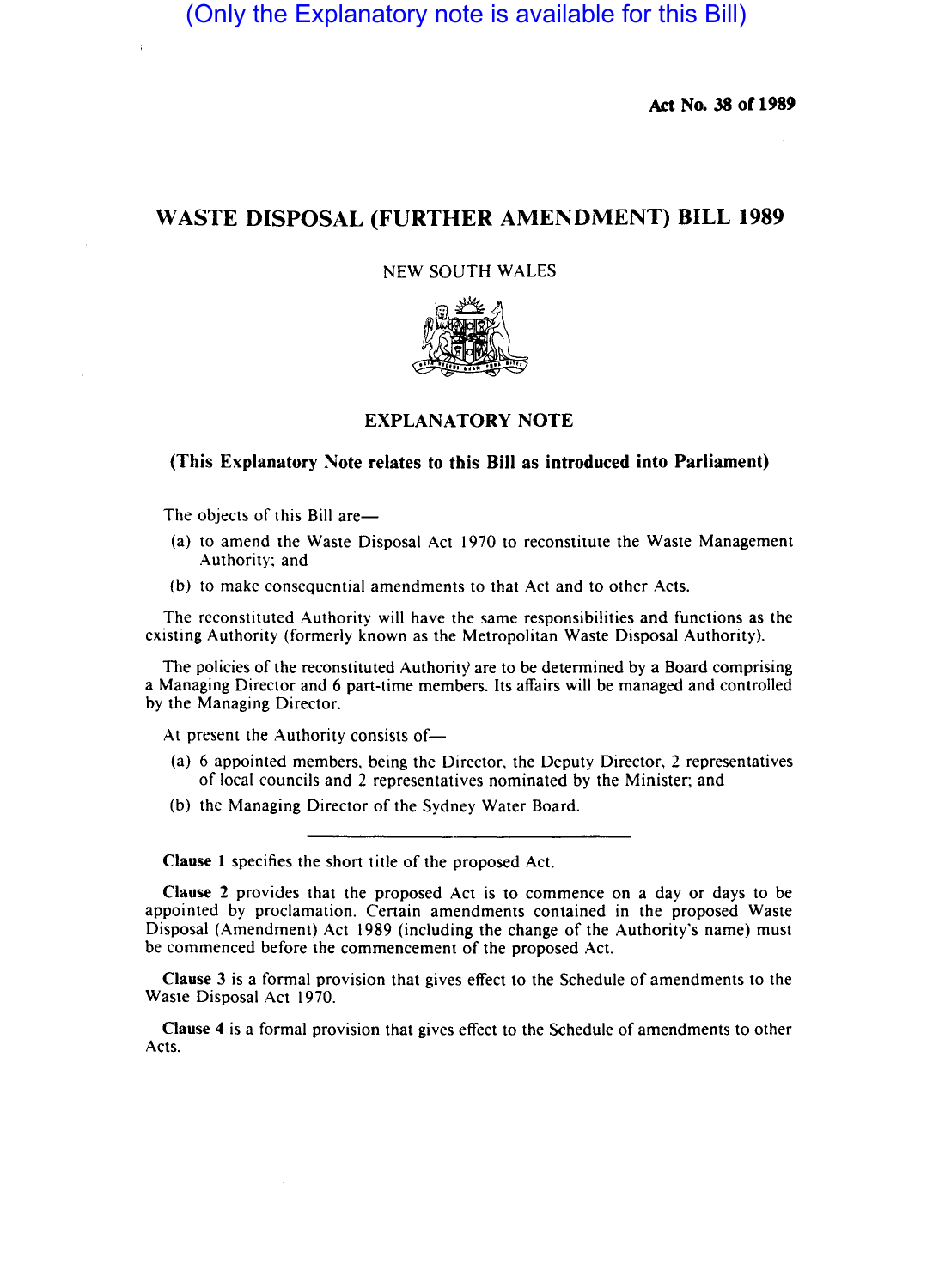(Only the Explanatory note is available for this Bill)

**Ad No. 38 or 1989** 

# **WASTE DISPOSAL (FURTHER AMENDMENT) BILL 1989**

NEW SOUTH WALES



## **EXPLANATORY NOTE**

#### **(This Explanatory Note relates to this Bill as introduced into Parliament)**

The objects of this Bill are—

- (a) to amend the Waste Disposal Act 1970 to reconstitute the Waste Management Authority; and
- (b) to make consequential amendments to that Act and to other Acts.

The reconstituted Authority will have the same responsibilities and functions as the existing Authority (formerly known as the Metropolitan Waste Disposal Authority).

The policies of the reconstituted Authority are to be determined by a Board comprising a Managing Director and 6 part-time members. Its affairs will be managed and controlled by the Managing Director.

At present the Authority consists of-

- (a) 6 appointed members. being the Director, the Deputy Director. 2 representatives of local councils and 2 representatives nominated by the Minister; and
- (b) the Managing Director of the Sydney Water Board.

**Clause I** specifies the short title of the proposed Act.

**Clause 2** provides that the proposed Act is to commence on a day or days to be appointed by proclamation. Certain amendments contained in the proposed Waste Disposal (Amendment) Act 1989 (including the change of the Authority's name) must be commenced before the commencement of the proposed Act.

**Clause** 3 is a formal provision that gives effect to the Schedule of amendments to the Waste Disposal Act 1970.

**Clause 4** is a formal provision that gives effect to the Schedule of amendments to other Acts.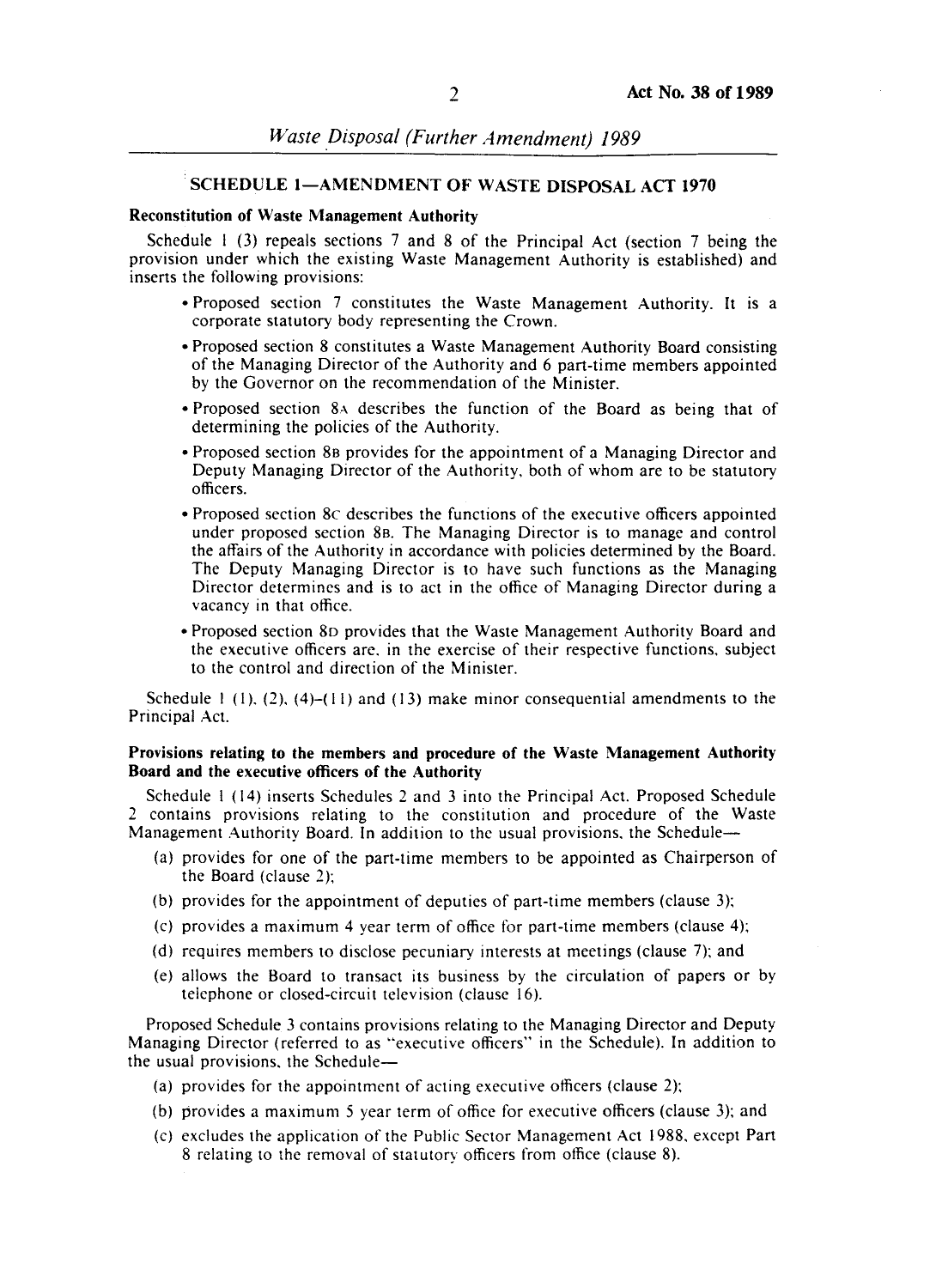## SCHEDULE 1-AMENDMENT OF WASTE DISPOSAL ACT 1970

## Reconstitution of Waste Management Authority

Schedule 1 (3) repeals sections 7 and 8 of the Principal Act (section 7 being the provision under which the existing Waste Management Authority is established) and inserts the following provisions:

- Proposed section 7 constitutes the Waste Management Authority. It is a corporate statutory body representing the Crown.
- Proposed section 8 constitutes a Waste Management Authority Board consisting of the Managing Director of the Authority and 6 part-time members appointed by the Governor on the recommendation of the Minister.
- Proposed section 8A describes the function of the Board as being that of determining the policies of the Authority.
- Proposed section 88 provides for the appointment of a Managing Director and Deputy Managing Director of the Authority. both of whom are to be statutory officers.
- Proposed section 8c describes the functions of the executive officers appointed under proposed section 88. The Managing Director is to manage and control the affairs of the Authority in accordance with policies determined by the Board. The Deputy Managing Director is to have such functions as the Managing Director determines and is to act in the office of Managing Director during a vacancy in that office.
- Proposed section 80 provides that the Waste Management Authority Board and the executive officers are. in the exercise of their respective functions. subject to the control and direction of the Minister.

Schedule  $1(1)$ ,  $(2)$ ,  $(4)-(11)$  and  $(13)$  make minor consequential amendments to the Principal Act.

#### Provisions relating to the members and procedure of the Waste Management Authority Board and the executive officers of the Authority

Schedule I (14) inserts Schedules 2 and 3 into the Principal Act. Proposed Schedule 2 contains provisions relating to the constitution and procedure of the Waste Management Authority Board. In addition to the usual provisions, the Schedule--

- (a) provides for one of the part-time members to be appointed as Chairperson of the Board (clause 2);
- (b) provides for the appointment of deputies of part-time members (clause 3);
- (c) provides a maximum 4 year term of office for part-time members (clause 4);
- (d) requires members to disclose pecuniary interests at meetings (clause 7); and
- (e) allows the Board to transact its business by the circulation of papers or by telephone or closed-circuit television (clause 16).

Proposed Schedule 3 contains provisions relating to the Managing Director and Deputy Managing Director (referred to as "executive officers" in the Schedule). In addition to the usual provisions. the Schedule-

- (a) provides for the appointment of acting executive officers (clause 2);
- (b) provides a maximum 5 year term of office for executive officers (clause 3); and
- (cl excludes the application of the Public Sector Management Act 1988. except Part 8 relating to the removal of statutory officers from office (clause 8).